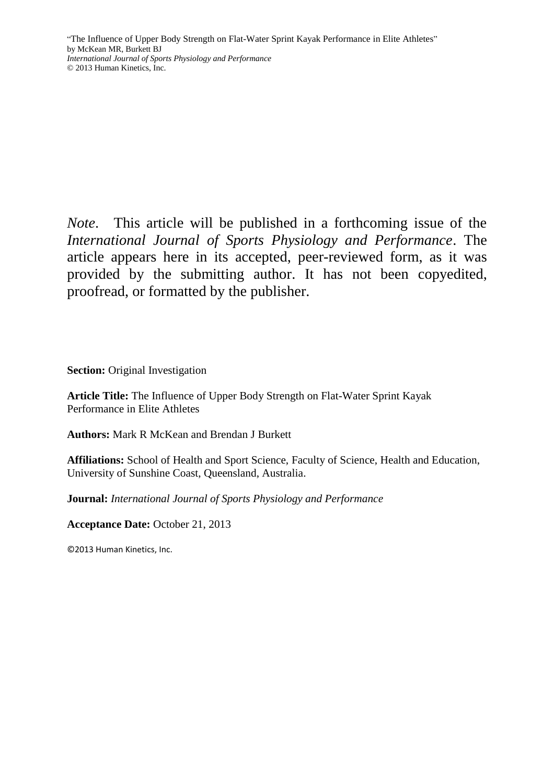*Note*. This article will be published in a forthcoming issue of the *International Journal of Sports Physiology and Performance*. The article appears here in its accepted, peer-reviewed form, as it was provided by the submitting author. It has not been copyedited, proofread, or formatted by the publisher.

**Section:** Original Investigation

**Article Title:** The Influence of Upper Body Strength on Flat-Water Sprint Kayak Performance in Elite Athletes

**Authors:** Mark R McKean and Brendan J Burkett

**Affiliations:** School of Health and Sport Science, Faculty of Science, Health and Education, University of Sunshine Coast, Queensland, Australia.

**Journal:** *International Journal of Sports Physiology and Performance*

**Acceptance Date:** October 21, 2013

©2013 Human Kinetics, Inc.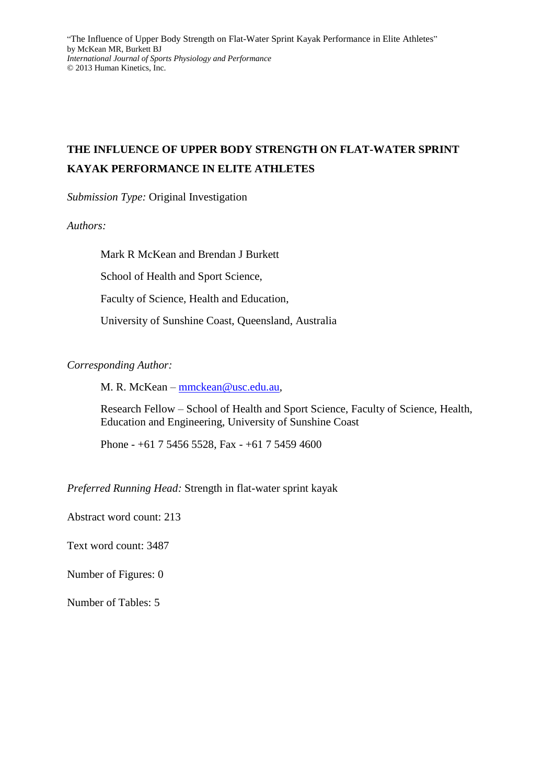# **THE INFLUENCE OF UPPER BODY STRENGTH ON FLAT-WATER SPRINT KAYAK PERFORMANCE IN ELITE ATHLETES**

*Submission Type:* Original Investigation

*Authors:*

Mark R McKean and Brendan J Burkett School of Health and Sport Science, Faculty of Science, Health and Education, University of Sunshine Coast, Queensland, Australia

# *Corresponding Author:*

M. R. McKean – [mmckean@usc.edu.au,](mailto:mmckean@usc.edu.au)

Research Fellow – School of Health and Sport Science, Faculty of Science, Health, Education and Engineering, University of Sunshine Coast

Phone - +61 7 5456 5528, Fax - +61 7 5459 4600

*Preferred Running Head:* Strength in flat-water sprint kayak

Abstract word count: 213

Text word count: 3487

Number of Figures: 0

Number of Tables: 5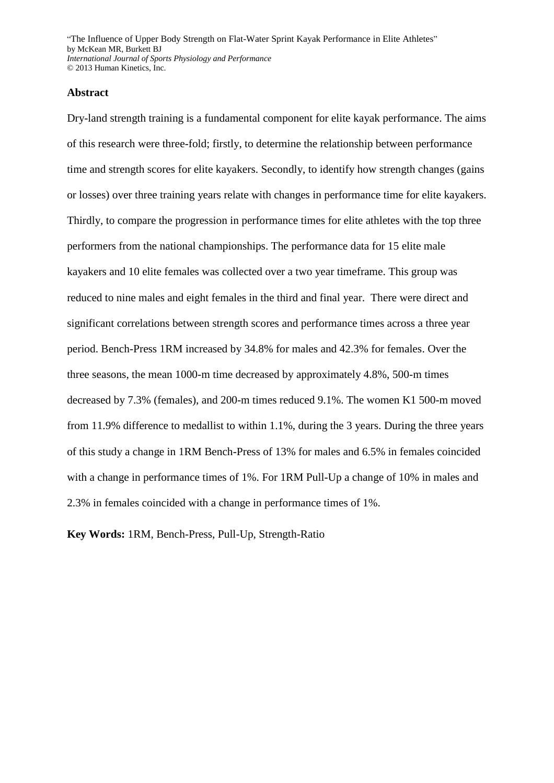#### **Abstract**

Dry-land strength training is a fundamental component for elite kayak performance. The aims of this research were three-fold; firstly, to determine the relationship between performance time and strength scores for elite kayakers. Secondly, to identify how strength changes (gains or losses) over three training years relate with changes in performance time for elite kayakers. Thirdly, to compare the progression in performance times for elite athletes with the top three performers from the national championships. The performance data for 15 elite male kayakers and 10 elite females was collected over a two year timeframe. This group was reduced to nine males and eight females in the third and final year. There were direct and significant correlations between strength scores and performance times across a three year period. Bench-Press 1RM increased by 34.8% for males and 42.3% for females. Over the three seasons, the mean 1000-m time decreased by approximately 4.8%, 500-m times decreased by 7.3% (females), and 200-m times reduced 9.1%. The women K1 500-m moved from 11.9% difference to medallist to within 1.1%, during the 3 years. During the three years of this study a change in 1RM Bench-Press of 13% for males and 6.5% in females coincided with a change in performance times of 1%. For 1RM Pull-Up a change of 10% in males and 2.3% in females coincided with a change in performance times of 1%.

**Key Words:** 1RM, Bench-Press, Pull-Up, Strength-Ratio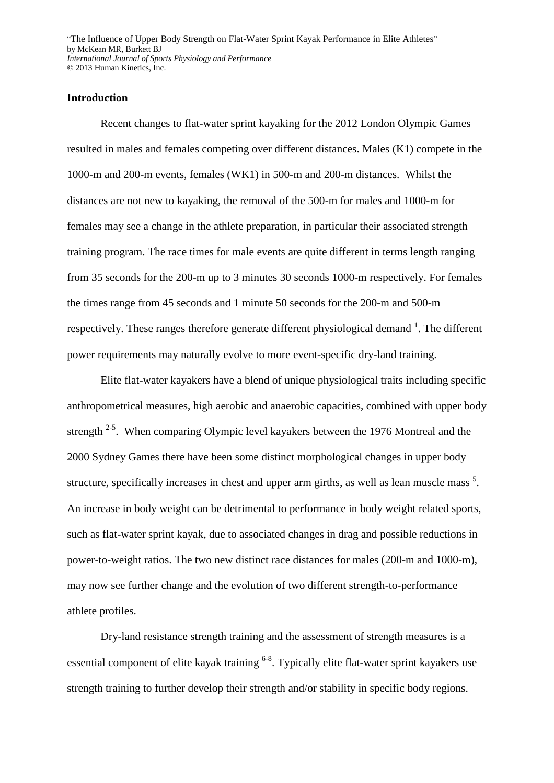## **Introduction**

Recent changes to flat-water sprint kayaking for the 2012 London Olympic Games resulted in males and females competing over different distances. Males (K1) compete in the 1000-m and 200-m events, females (WK1) in 500-m and 200-m distances. Whilst the distances are not new to kayaking, the removal of the 500-m for males and 1000-m for females may see a change in the athlete preparation, in particular their associated strength training program. The race times for male events are quite different in terms length ranging from 35 seconds for the 200-m up to 3 minutes 30 seconds 1000-m respectively. For females the times range from 45 seconds and 1 minute 50 seconds for the 200-m and 500-m respectively. These ranges therefore generate different physiological demand  $\frac{1}{1}$  $\frac{1}{1}$  $\frac{1}{1}$ . The different power requirements may naturally evolve to more event-specific dry-land training.

Elite flat-water kayakers have a blend of unique physiological traits including specific anthropometrical measures, high aerobic and anaerobic capacities, combined with upper body strength  $2-5$ . When comparing Olympic level kayakers between the 1976 Montreal and the 2000 Sydney Games there have been some distinct morphological changes in upper body structure, specifically increases in chest and upper arm girths, as well as lean muscle mass<sup>[5](#page-14-2)</sup>. An increase in body weight can be detrimental to performance in body weight related sports, such as flat-water sprint kayak, due to associated changes in drag and possible reductions in power-to-weight ratios. The two new distinct race distances for males (200-m and 1000-m), may now see further change and the evolution of two different strength-to-performance athlete profiles.

Dry-land resistance strength training and the assessment of strength measures is a essential component of elite kayak training <sup>[6-8](#page-14-3)</sup>. Typically elite flat-water sprint kayakers use strength training to further develop their strength and/or stability in specific body regions.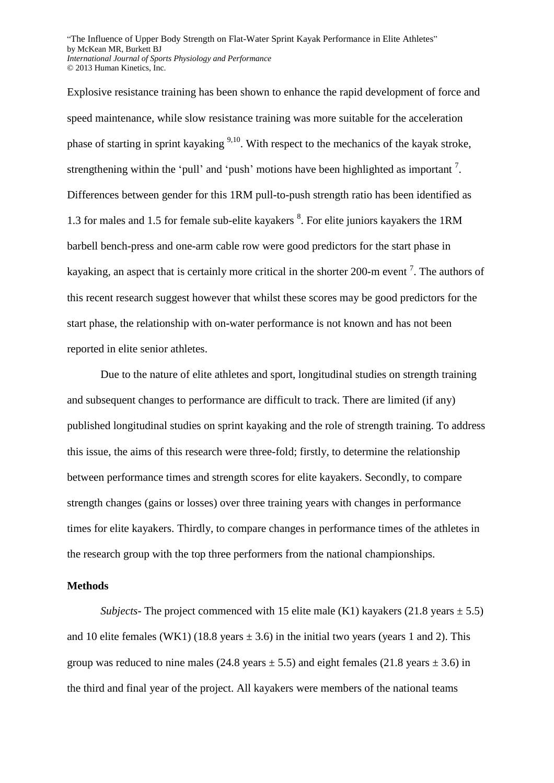Explosive resistance training has been shown to enhance the rapid development of force and speed maintenance, while slow resistance training was more suitable for the acceleration phase of starting in sprint kayaking <sup>[9](#page-14-4)[,10](#page-14-5)</sup>. With respect to the mechanics of the kayak stroke, strengtheningwithin the 'pull' and 'push' motions have been highlighted as important  $<sup>7</sup>$ .</sup> Differences between gender for this 1RM pull-to-push strength ratio has been identified as 1.3 for males and 1.5 for female sub-elite kayakers <sup>[8](#page-14-7)</sup>. For elite juniors kayakers the 1RM barbell bench-press and one-arm cable row were good predictors for the start phase in kayaking, an aspect that is certainly more critical in the shorter 200-m event<sup>[7](#page-14-6)</sup>. The authors of this recent research suggest however that whilst these scores may be good predictors for the start phase, the relationship with on-water performance is not known and has not been reported in elite senior athletes.

Due to the nature of elite athletes and sport, longitudinal studies on strength training and subsequent changes to performance are difficult to track. There are limited (if any) published longitudinal studies on sprint kayaking and the role of strength training. To address this issue, the aims of this research were three-fold; firstly, to determine the relationship between performance times and strength scores for elite kayakers. Secondly, to compare strength changes (gains or losses) over three training years with changes in performance times for elite kayakers. Thirdly, to compare changes in performance times of the athletes in the research group with the top three performers from the national championships.

## **Methods**

*Subjects*- The project commenced with 15 elite male (K1) kayakers (21.8 years  $\pm$  5.5) and 10 elite females (WK1) (18.8 years  $\pm$  3.6) in the initial two years (years 1 and 2). This group was reduced to nine males (24.8 years  $\pm$  5.5) and eight females (21.8 years  $\pm$  3.6) in the third and final year of the project. All kayakers were members of the national teams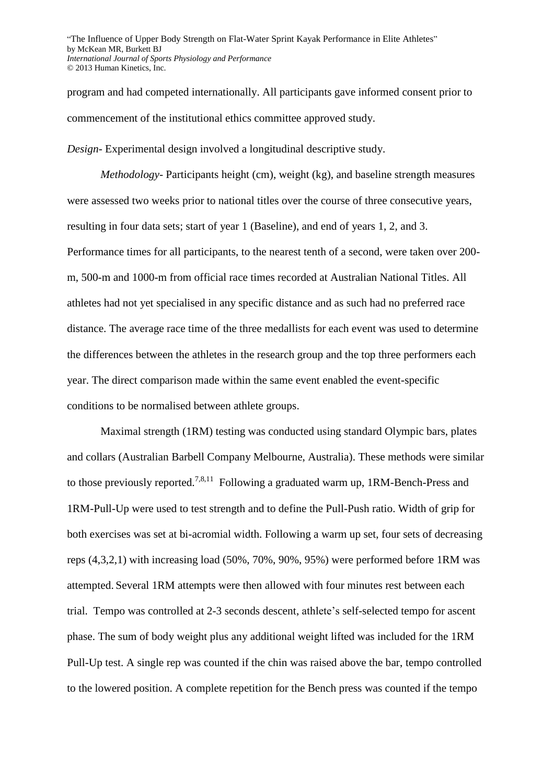program and had competed internationally. All participants gave informed consent prior to commencement of the institutional ethics committee approved study.

*Design-* Experimental design involved a longitudinal descriptive study.

*Methodology*- Participants height (cm), weight (kg), and baseline strength measures were assessed two weeks prior to national titles over the course of three consecutive years, resulting in four data sets; start of year 1 (Baseline), and end of years 1, 2, and 3. Performance times for all participants, to the nearest tenth of a second, were taken over 200 m, 500-m and 1000-m from official race times recorded at Australian National Titles. All athletes had not yet specialised in any specific distance and as such had no preferred race distance. The average race time of the three medallists for each event was used to determine the differences between the athletes in the research group and the top three performers each year. The direct comparison made within the same event enabled the event-specific conditions to be normalised between athlete groups.

Maximal strength (1RM) testing was conducted using standard Olympic bars, plates and collars (Australian Barbell Company Melbourne, Australia). These methods were similar to those previously reported.<sup>[7,](#page-14-6)[8,](#page-14-7)[11](#page-14-8)</sup> Following a graduated warm up, 1RM-Bench-Press and 1RM-Pull-Up were used to test strength and to define the Pull-Push ratio. Width of grip for both exercises was set at bi-acromial width. Following a warm up set, four sets of decreasing reps (4,3,2,1) with increasing load (50%, 70%, 90%, 95%) were performed before 1RM was attempted. Several 1RM attempts were then allowed with four minutes rest between each trial. Tempo was controlled at 2-3 seconds descent, athlete's self-selected tempo for ascent phase. The sum of body weight plus any additional weight lifted was included for the 1RM Pull-Up test. A single rep was counted if the chin was raised above the bar, tempo controlled to the lowered position. A complete repetition for the Bench press was counted if the tempo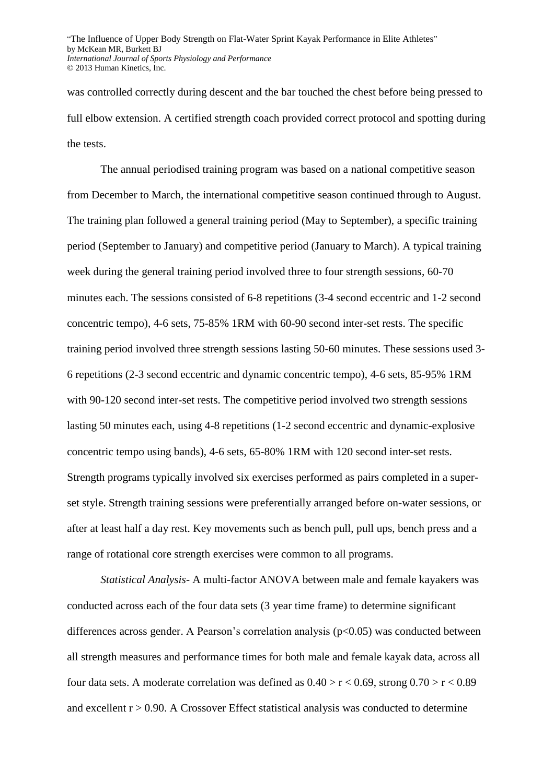was controlled correctly during descent and the bar touched the chest before being pressed to full elbow extension. A certified strength coach provided correct protocol and spotting during the tests.

The annual periodised training program was based on a national competitive season from December to March, the international competitive season continued through to August. The training plan followed a general training period (May to September), a specific training period (September to January) and competitive period (January to March). A typical training week during the general training period involved three to four strength sessions, 60-70 minutes each. The sessions consisted of 6-8 repetitions (3-4 second eccentric and 1-2 second concentric tempo), 4-6 sets, 75-85% 1RM with 60-90 second inter-set rests. The specific training period involved three strength sessions lasting 50-60 minutes. These sessions used 3- 6 repetitions (2-3 second eccentric and dynamic concentric tempo), 4-6 sets, 85-95% 1RM with 90-120 second inter-set rests. The competitive period involved two strength sessions lasting 50 minutes each, using 4-8 repetitions (1-2 second eccentric and dynamic-explosive concentric tempo using bands), 4-6 sets, 65-80% 1RM with 120 second inter-set rests. Strength programs typically involved six exercises performed as pairs completed in a superset style. Strength training sessions were preferentially arranged before on-water sessions, or after at least half a day rest. Key movements such as bench pull, pull ups, bench press and a range of rotational core strength exercises were common to all programs.

*Statistical Analysis-* A multi-factor ANOVA between male and female kayakers was conducted across each of the four data sets (3 year time frame) to determine significant differences across gender. A Pearson's correlation analysis ( $p<0.05$ ) was conducted between all strength measures and performance times for both male and female kayak data, across all four data sets. A moderate correlation was defined as  $0.40 > r < 0.69$ , strong  $0.70 > r < 0.89$ and excellent  $r > 0.90$ . A Crossover Effect statistical analysis was conducted to determine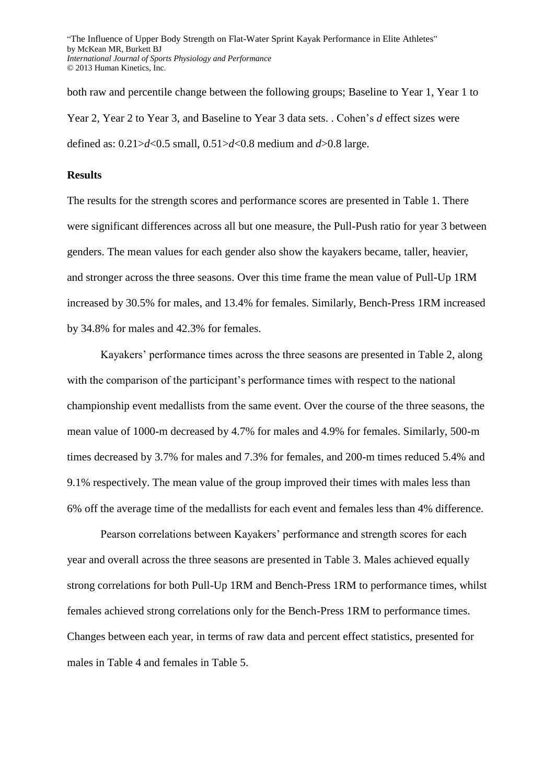both raw and percentile change between the following groups; Baseline to Year 1, Year 1 to Year 2, Year 2 to Year 3, and Baseline to Year 3 data sets. . Cohen's *d* effect sizes were defined as: 0.21>*d*<0.5 small, 0.51>*d*<0.8 medium and *d*>0.8 large.

#### **Results**

The results for the strength scores and performance scores are presented in Table 1. There were significant differences across all but one measure, the Pull-Push ratio for year 3 between genders. The mean values for each gender also show the kayakers became, taller, heavier, and stronger across the three seasons. Over this time frame the mean value of Pull-Up 1RM increased by 30.5% for males, and 13.4% for females. Similarly, Bench-Press 1RM increased by 34.8% for males and 42.3% for females.

Kayakers' performance times across the three seasons are presented in Table 2, along with the comparison of the participant's performance times with respect to the national championship event medallists from the same event. Over the course of the three seasons, the mean value of 1000-m decreased by 4.7% for males and 4.9% for females. Similarly, 500-m times decreased by 3.7% for males and 7.3% for females, and 200-m times reduced 5.4% and 9.1% respectively. The mean value of the group improved their times with males less than 6% off the average time of the medallists for each event and females less than 4% difference.

Pearson correlations between Kayakers' performance and strength scores for each year and overall across the three seasons are presented in Table 3. Males achieved equally strong correlations for both Pull-Up 1RM and Bench-Press 1RM to performance times, whilst females achieved strong correlations only for the Bench-Press 1RM to performance times. Changes between each year, in terms of raw data and percent effect statistics, presented for males in Table 4 and females in Table 5.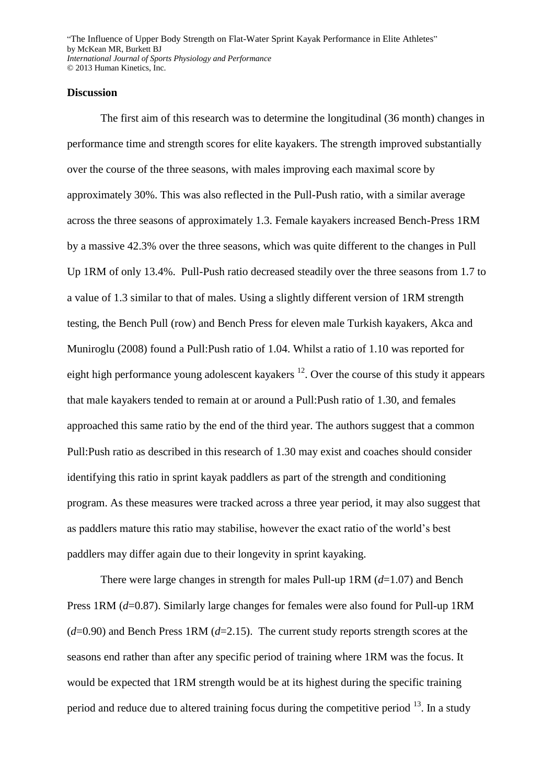#### **Discussion**

The first aim of this research was to determine the longitudinal (36 month) changes in performance time and strength scores for elite kayakers. The strength improved substantially over the course of the three seasons, with males improving each maximal score by approximately 30%. This was also reflected in the Pull-Push ratio, with a similar average across the three seasons of approximately 1.3. Female kayakers increased Bench-Press 1RM by a massive 42.3% over the three seasons, which was quite different to the changes in Pull Up 1RM of only 13.4%. Pull-Push ratio decreased steadily over the three seasons from 1.7 to a value of 1.3 similar to that of males. Using a slightly different version of 1RM strength testing, the Bench Pull (row) and Bench Press for eleven male Turkish kayakers, Akca and Muniroglu (2008) found a Pull:Push ratio of 1.04. Whilst a ratio of 1.10 was reported for eight high performance young adolescent kayakers<sup>[12](#page-14-9)</sup>. Over the course of this study it appears that male kayakers tended to remain at or around a Pull:Push ratio of 1.30, and females approached this same ratio by the end of the third year. The authors suggest that a common Pull:Push ratio as described in this research of 1.30 may exist and coaches should consider identifying this ratio in sprint kayak paddlers as part of the strength and conditioning program. As these measures were tracked across a three year period, it may also suggest that as paddlers mature this ratio may stabilise, however the exact ratio of the world's best paddlers may differ again due to their longevity in sprint kayaking.

There were large changes in strength for males Pull-up 1RM (*d*=1.07) and Bench Press 1RM (*d*=0.87). Similarly large changes for females were also found for Pull-up 1RM (*d*=0.90) and Bench Press 1RM (*d*=2.15). The current study reports strength scores at the seasons end rather than after any specific period of training where 1RM was the focus. It would be expected that 1RM strength would be at its highest during the specific training period and reduce due to altered training focus during the competitive period  $^{13}$  $^{13}$  $^{13}$ . In a study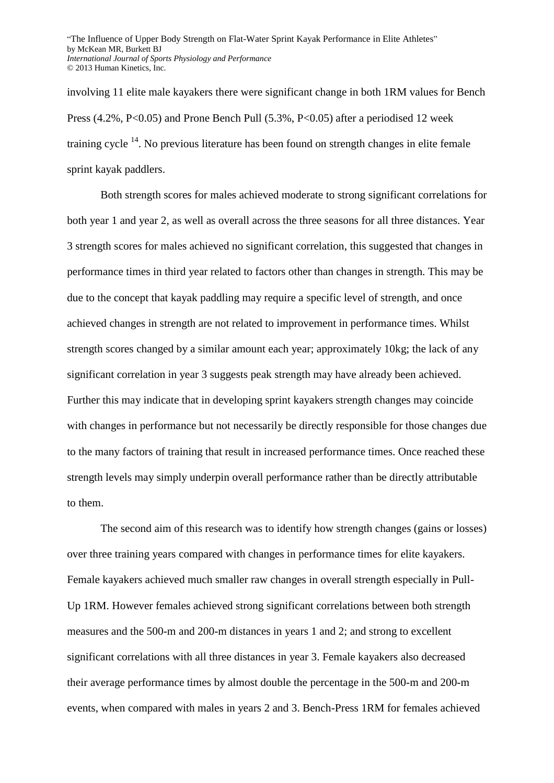involving 11 elite male kayakers there were significant change in both 1RM values for Bench Press  $(4.2\%, P<0.05)$  and Prone Bench Pull  $(5.3\%, P<0.05)$  after a periodised 12 week training cycle <sup>[14](#page-15-0)</sup>. No previous literature has been found on strength changes in elite female sprint kayak paddlers.

Both strength scores for males achieved moderate to strong significant correlations for both year 1 and year 2, as well as overall across the three seasons for all three distances. Year 3 strength scores for males achieved no significant correlation, this suggested that changes in performance times in third year related to factors other than changes in strength. This may be due to the concept that kayak paddling may require a specific level of strength, and once achieved changes in strength are not related to improvement in performance times. Whilst strength scores changed by a similar amount each year; approximately 10kg; the lack of any significant correlation in year 3 suggests peak strength may have already been achieved. Further this may indicate that in developing sprint kayakers strength changes may coincide with changes in performance but not necessarily be directly responsible for those changes due to the many factors of training that result in increased performance times. Once reached these strength levels may simply underpin overall performance rather than be directly attributable to them.

The second aim of this research was to identify how strength changes (gains or losses) over three training years compared with changes in performance times for elite kayakers. Female kayakers achieved much smaller raw changes in overall strength especially in Pull-Up 1RM. However females achieved strong significant correlations between both strength measures and the 500-m and 200-m distances in years 1 and 2; and strong to excellent significant correlations with all three distances in year 3. Female kayakers also decreased their average performance times by almost double the percentage in the 500-m and 200-m events, when compared with males in years 2 and 3. Bench-Press 1RM for females achieved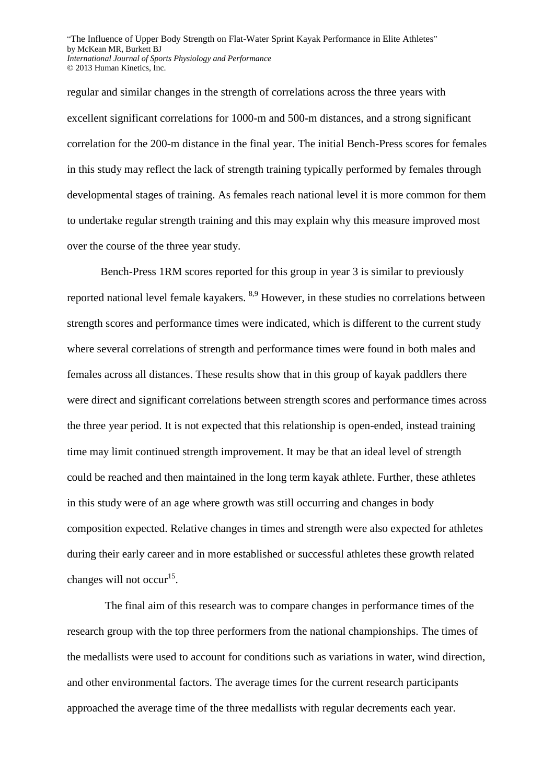regular and similar changes in the strength of correlations across the three years with excellent significant correlations for 1000-m and 500-m distances, and a strong significant correlation for the 200-m distance in the final year. The initial Bench-Press scores for females in this study may reflect the lack of strength training typically performed by females through developmental stages of training. As females reach national level it is more common for them to undertake regular strength training and this may explain why this measure improved most over the course of the three year study.

Bench-Press 1RM scores reported for this group in year 3 is similar to previously reported national level female kayakers. <sup>[8](#page-14-7)[,9](#page-14-4)</sup> However, in these studies no correlations between strength scores and performance times were indicated, which is different to the current study where several correlations of strength and performance times were found in both males and females across all distances. These results show that in this group of kayak paddlers there were direct and significant correlations between strength scores and performance times across the three year period. It is not expected that this relationship is open-ended, instead training time may limit continued strength improvement. It may be that an ideal level of strength could be reached and then maintained in the long term kayak athlete. Further, these athletes in this study were of an age where growth was still occurring and changes in body composition expected. Relative changes in times and strength were also expected for athletes during their early career and in more established or successful athletes these growth related changes will not occur<sup>[15](#page-15-1)</sup>.

The final aim of this research was to compare changes in performance times of the research group with the top three performers from the national championships. The times of the medallists were used to account for conditions such as variations in water, wind direction, and other environmental factors. The average times for the current research participants approached the average time of the three medallists with regular decrements each year.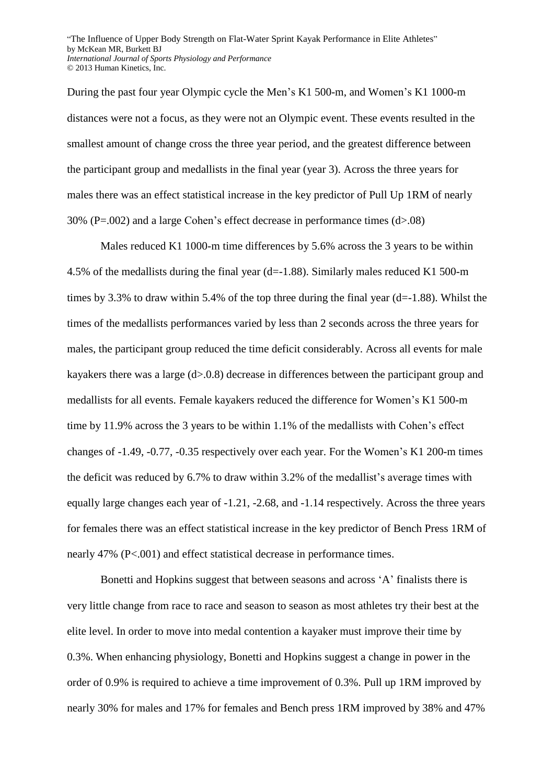During the past four year Olympic cycle the Men's K1 500-m, and Women's K1 1000-m distances were not a focus, as they were not an Olympic event. These events resulted in the smallest amount of change cross the three year period, and the greatest difference between the participant group and medallists in the final year (year 3). Across the three years for males there was an effect statistical increase in the key predictor of Pull Up 1RM of nearly 30% (P=.002) and a large Cohen's effect decrease in performance times  $(d>0.08)$ 

Males reduced K1 1000-m time differences by 5.6% across the 3 years to be within 4.5% of the medallists during the final year (d=-1.88). Similarly males reduced K1 500-m times by 3.3% to draw within 5.4% of the top three during the final year  $(d=1.88)$ . Whilst the times of the medallists performances varied by less than 2 seconds across the three years for males, the participant group reduced the time deficit considerably. Across all events for male kayakers there was a large (d>.0.8) decrease in differences between the participant group and medallists for all events. Female kayakers reduced the difference for Women's K1 500-m time by 11.9% across the 3 years to be within 1.1% of the medallists with Cohen's effect changes of -1.49, -0.77, -0.35 respectively over each year. For the Women's K1 200-m times the deficit was reduced by 6.7% to draw within 3.2% of the medallist's average times with equally large changes each year of -1.21, -2.68, and -1.14 respectively. Across the three years for females there was an effect statistical increase in the key predictor of Bench Press 1RM of nearly 47% (P<.001) and effect statistical decrease in performance times.

Bonetti and Hopkins suggest that between seasons and across 'A' finalists there is very little change from race to race and season to season as most athletes try their best at the elite level. In order to move into medal contention a kayaker must improve their time by 0.3%. When enhancing physiology, Bonetti and Hopkins suggest a change in power in the order of 0.9% is required to achieve a time improvement of 0.3%. Pull up 1RM improved by nearly 30% for males and 17% for females and Bench press 1RM improved by 38% and 47%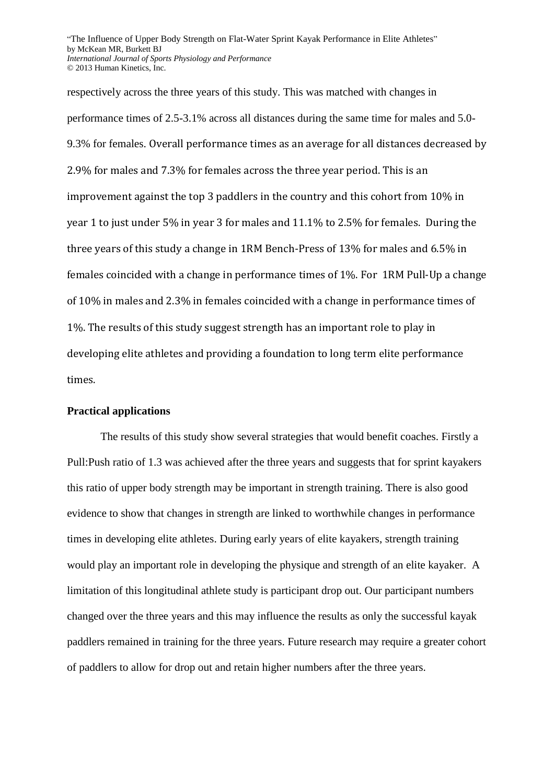respectively across the three years of this study. This was matched with changes in performance times of 2.5-3.1% across all distances during the same time for males and 5.0- 9.3% for females. Overall performance times as an average for all distances decreased by 2.9% for males and 7.3% for females across the three year period. This is an improvement against the top 3 paddlers in the country and this cohort from 10% in year 1 to just under 5% in year 3 for males and 11.1% to 2.5% for females. During the three years of this study a change in 1RM Bench-Press of 13% for males and 6.5% in females coincided with a change in performance times of 1%. For 1RM Pull-Up a change of 10% in males and 2.3% in females coincided with a change in performance times of 1%. The results of this study suggest strength has an important role to play in developing elite athletes and providing a foundation to long term elite performance times.

#### **Practical applications**

The results of this study show several strategies that would benefit coaches. Firstly a Pull:Push ratio of 1.3 was achieved after the three years and suggests that for sprint kayakers this ratio of upper body strength may be important in strength training. There is also good evidence to show that changes in strength are linked to worthwhile changes in performance times in developing elite athletes. During early years of elite kayakers, strength training would play an important role in developing the physique and strength of an elite kayaker. A limitation of this longitudinal athlete study is participant drop out. Our participant numbers changed over the three years and this may influence the results as only the successful kayak paddlers remained in training for the three years. Future research may require a greater cohort of paddlers to allow for drop out and retain higher numbers after the three years.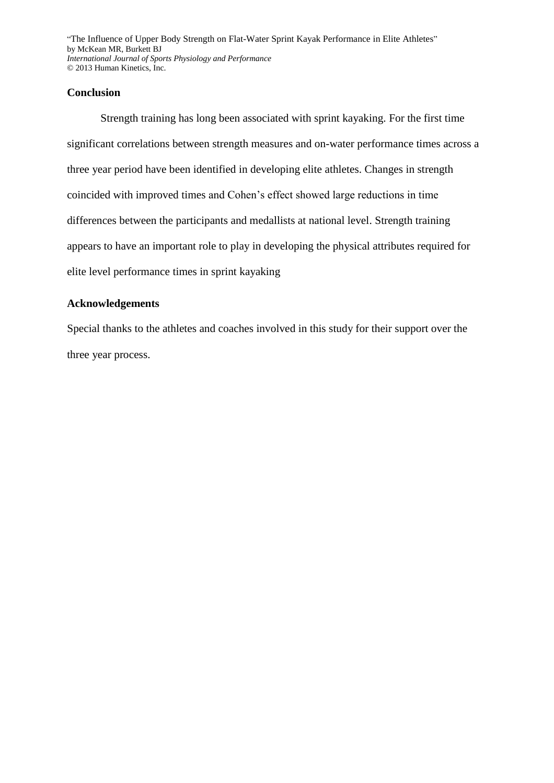## **Conclusion**

Strength training has long been associated with sprint kayaking. For the first time significant correlations between strength measures and on-water performance times across a three year period have been identified in developing elite athletes. Changes in strength coincided with improved times and Cohen's effect showed large reductions in time differences between the participants and medallists at national level. Strength training appears to have an important role to play in developing the physical attributes required for elite level performance times in sprint kayaking

# **Acknowledgements**

Special thanks to the athletes and coaches involved in this study for their support over the three year process.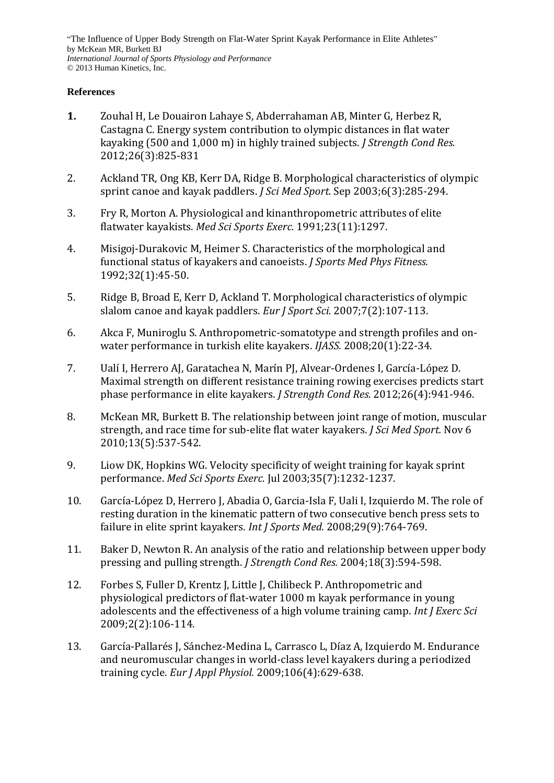## **References**

- <span id="page-14-0"></span>**1.** Zouhal H, Le Douairon Lahaye S, Abderrahaman AB, Minter G, Herbez R, Castagna C. Energy system contribution to olympic distances in flat water kayaking (500 and 1,000 m) in highly trained subjects. *J Strength Cond Res.*  2012;26(3):825-831
- <span id="page-14-1"></span>2. Ackland TR, Ong KB, Kerr DA, Ridge B. Morphological characteristics of olympic sprint canoe and kayak paddlers. *J Sci Med Sport.* Sep 2003;6(3):285-294.
- 3. Fry R, Morton A. Physiological and kinanthropometric attributes of elite flatwater kayakists. *Med Sci Sports Exerc.* 1991;23(11):1297.
- 4. Misigoj-Durakovic M, Heimer S. Characteristics of the morphological and functional status of kayakers and canoeists. *J Sports Med Phys Fitness.*  1992;32(1):45-50.
- <span id="page-14-2"></span>5. Ridge B, Broad E, Kerr D, Ackland T. Morphological characteristics of olympic slalom canoe and kayak paddlers. *Eur J Sport Sci.* 2007;7(2):107-113.
- <span id="page-14-3"></span>6. Akca F, Muniroglu S. Anthropometric-somatotype and strength profiles and onwater performance in turkish elite kayakers. *IJASS.* 2008;20(1):22-34.
- <span id="page-14-6"></span>7. Ualí I, Herrero AJ, Garatachea N, Marín PJ, Alvear-Ordenes I, García-López D. Maximal strength on different resistance training rowing exercises predicts start phase performance in elite kayakers. *J Strength Cond Res.* 2012;26(4):941-946.
- <span id="page-14-7"></span>8. McKean MR, Burkett B. The relationship between joint range of motion, muscular strength, and race time for sub-elite flat water kayakers. *J Sci Med Sport.* Nov 6 2010;13(5):537-542.
- <span id="page-14-4"></span>9. Liow DK, Hopkins WG. Velocity specificity of weight training for kayak sprint performance. *Med Sci Sports Exerc.* Jul 2003;35(7):1232-1237.
- <span id="page-14-5"></span>10. García-López D, Herrero J, Abadia O, Garcia-Isla F, Uali I, Izquierdo M. The role of resting duration in the kinematic pattern of two consecutive bench press sets to failure in elite sprint kayakers. *Int J Sports Med.* 2008;29(9):764-769.
- <span id="page-14-8"></span>11. Baker D, Newton R. An analysis of the ratio and relationship between upper body pressing and pulling strength. *J Strength Cond Res.* 2004;18(3):594-598.
- <span id="page-14-9"></span>12. Forbes S, Fuller D, Krentz J, Little J, Chilibeck P. Anthropometric and physiological predictors of flat-water 1000 m kayak performance in young adolescents and the effectiveness of a high volume training camp. *Int J Exerc Sci*  2009;2(2):106-114.
- <span id="page-14-10"></span>13. García-Pallarés J, Sánchez-Medina L, Carrasco L, Díaz A, Izquierdo M. Endurance and neuromuscular changes in world-class level kayakers during a periodized training cycle. *Eur J Appl Physiol.* 2009;106(4):629-638.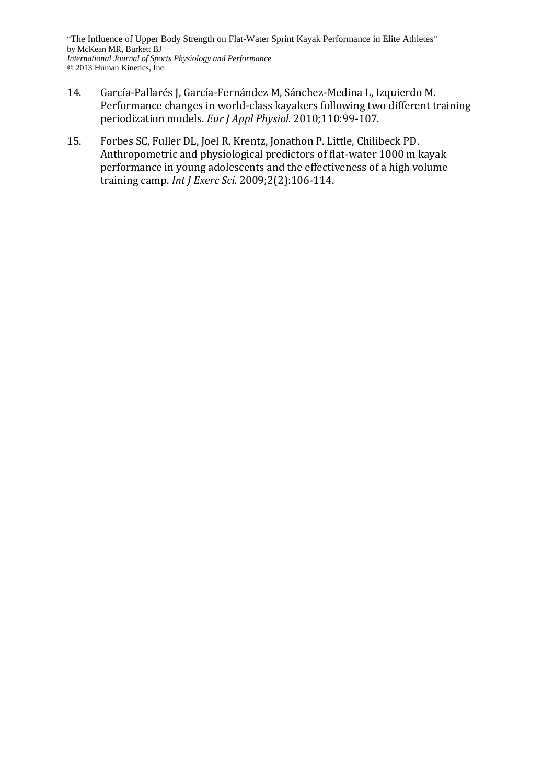- <span id="page-15-0"></span>14. García-Pallarés J, García-Fernández M, Sánchez-Medina L, Izquierdo M. Performance changes in world-class kayakers following two different training periodization models. *Eur J Appl Physiol.* 2010;110:99-107.
- <span id="page-15-1"></span>15. Forbes SC, Fuller DL, Joel R. Krentz, Jonathon P. Little, Chilibeck PD. Anthropometric and physiological predictors of flat-water 1000 m kayak performance in young adolescents and the effectiveness of a high volume training camp. *Int J Exerc Sci.* 2009;2(2):106-114.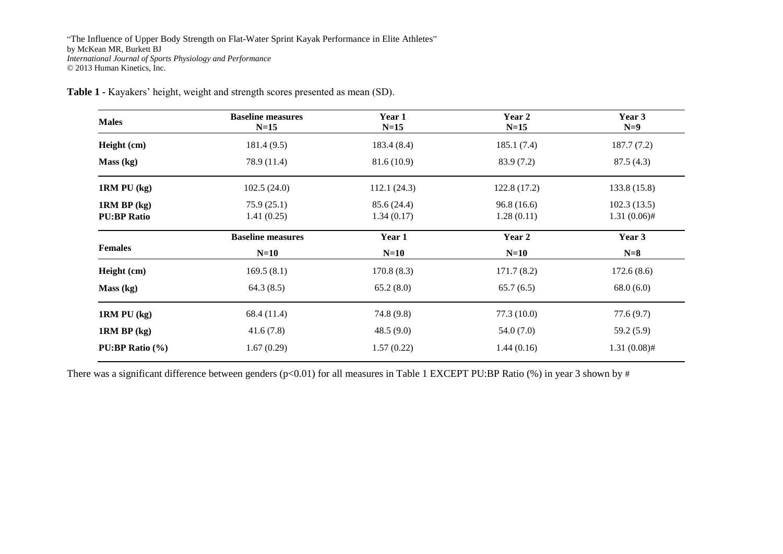| <b>Males</b>                          | <b>Baseline measures</b><br>$N=15$ | Year 1<br>$N=15$ | Year 2<br>$N=15$ | Year 3<br>$N=9$ |
|---------------------------------------|------------------------------------|------------------|------------------|-----------------|
| Height (cm)                           | 181.4(9.5)                         | 183.4(8.4)       | 185.1(7.4)       | 187.7(7.2)      |
| Mass (kg)                             | 78.9 (11.4)                        | 81.6(10.9)       | 83.9 (7.2)       | 87.5(4.3)       |
| $1RM$ PU $(kg)$                       | 102.5(24.0)                        | 112.1(24.3)      | 122.8(17.2)      | 133.8(15.8)     |
| $1RM$ BP $(kg)$                       | 75.9(25.1)                         | 85.6 (24.4)      | 96.8(16.6)       | 102.3(13.5)     |
| <b>PU:BP Ratio</b>                    | 1.41(0.25)                         | 1.34(0.17)       | 1.28(0.11)       | $1.31(0.06)$ #  |
|                                       | <b>Baseline measures</b>           | Year 1           | Year 2           | Year 3          |
| <b>Females</b>                        | $N=10$                             | $N=10$           | $N=10$           | $N=8$           |
| Height (cm)                           | 169.5(8.1)                         | 170.8(8.3)       | 171.7(8.2)       | 172.6(8.6)      |
| Mass (kg)                             | 64.3(8.5)                          | 65.2(8.0)        | 65.7(6.5)        | 68.0(6.0)       |
| $1RM$ PU $(kg)$                       | 68.4 (11.4)                        | 74.8(9.8)        | 77.3(10.0)       | 77.6(9.7)       |
| $1RM$ BP $(kg)$                       | 41.6(7.8)                          | 48.5(9.0)        | 54.0(7.0)        | 59.2 (5.9)      |
| <b>PU:BP Ratio <math>(\% )</math></b> | 1.67(0.29)                         | 1.57(0.22)       | 1.44(0.16)       | $1.31(0.08)$ #  |

**Table 1 -** Kayakers' height, weight and strength scores presented as mean (SD).

There was a significant difference between genders (p<0.01) for all measures in Table 1 EXCEPT PU:BP Ratio (%) in year 3 shown by #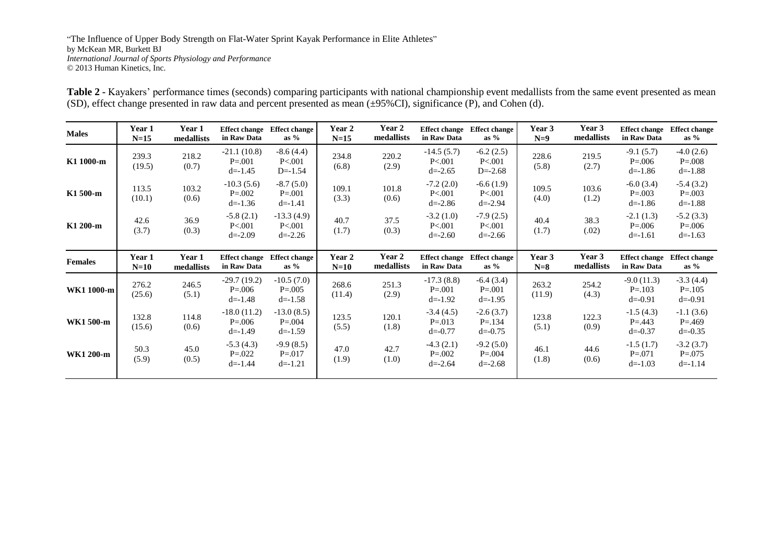| Table 2 - Kayakers' performance times (seconds) comparing participants with national championship event medallists from the same event presented as mean |  |
|----------------------------------------------------------------------------------------------------------------------------------------------------------|--|
| (SD), effect change presented in raw data and percent presented as mean $(\pm 95\% \text{ CI})$ , significance (P), and Cohen (d).                       |  |

| <b>Males</b>   | Year 1<br>$N=15$ | Year 1<br>medallists | in Raw Data                                 | Effect change Effect change<br>as $%$      | Year 2<br>$N=15$ | Year 2<br>medallists | <b>Effect change</b><br>in Raw Data        | <b>Effect change</b><br>as $%$            | Year 3<br>$N=9$ | Year 3<br>medallists | <b>Effect change</b><br>in Raw Data       | <b>Effect change</b><br>as $%$            |
|----------------|------------------|----------------------|---------------------------------------------|--------------------------------------------|------------------|----------------------|--------------------------------------------|-------------------------------------------|-----------------|----------------------|-------------------------------------------|-------------------------------------------|
| K1 1000-m      | 239.3<br>(19.5)  | 218.2<br>(0.7)       | $-21.1(10.8)$<br>$P = 0.001$<br>$d = -1.45$ | $-8.6(4.4)$<br>P < 001<br>$D = -1.54$      | 234.8<br>(6.8)   | 220.2<br>(2.9)       | $-14.5(5.7)$<br>P < 001<br>$d = -2.65$     | $-6.2(2.5)$<br>P < 001<br>$D = -2.68$     | 228.6<br>(5.8)  | 219.5<br>(2.7)       | $-9.1(5.7)$<br>$P = 0.006$<br>$d = -1.86$ | $-4.0(2.6)$<br>$P = .008$<br>$d = -1.88$  |
| K1 500-m       | 113.5<br>(10.1)  | 103.2<br>(0.6)       | $-10.3(5.6)$<br>$P = 0.002$<br>$d = -1.36$  | $-8.7(5.0)$<br>$P = 0.001$<br>$d = -1.41$  | 109.1<br>(3.3)   | 101.8<br>(0.6)       | $-7.2(2.0)$<br>P < 001<br>$d = -2.86$      | $-6.6(1.9)$<br>P < 001<br>$d = -2.94$     | 109.5<br>(4.0)  | 103.6<br>(1.2)       | $-6.0(3.4)$<br>$P = 0.003$<br>$d = -1.86$ | $-5.4(3.2)$<br>$P = .003$<br>$d = -1.88$  |
| K1 200-m       | 42.6<br>(3.7)    | 36.9<br>(0.3)        | $-5.8(2.1)$<br>P<.001<br>$d = -2.09$        | $-13.3(4.9)$<br>P<.001<br>$d = -2.26$      | 40.7<br>(1.7)    | 37.5<br>(0.3)        | $-3.2(1.0)$<br>P < 001<br>$d = -2.60$      | $-7.9(2.5)$<br>P < 001<br>$d = -2.66$     | 40.4<br>(1.7)   | 38.3<br>(.02)        | $-2.1(1.3)$<br>$P = 0.006$<br>$d = -1.61$ | $-5.2(3.3)$<br>$P = 0.006$<br>$d = -1.63$ |
| <b>Females</b> | Year 1<br>$N=10$ | Year 1<br>medallists | <b>Effect change</b><br>in Raw Data         | <b>Effect change</b><br>as $%$             | Year 2<br>$N=10$ | Year 2<br>medallists | <b>Effect change</b><br>in Raw Data        | <b>Effect change</b><br>as $%$            | Year 3<br>$N=8$ | Year 3<br>medallists | <b>Effect change</b><br>in Raw Data       | <b>Effect change</b><br>as $%$            |
| WK1 1000-m     | 276.2<br>(25.6)  | 246.5<br>(5.1)       | $-29.7(19.2)$<br>$P = 0.006$<br>$d = -1.48$ | $-10.5(7.0)$<br>$P = 0.005$<br>$d = -1.58$ | 268.6<br>(11.4)  | 251.3<br>(2.9)       | $-17.3(8.8)$<br>$P = 0.001$<br>$d = -1.92$ | $-6.4(3.4)$<br>$P = 0.001$<br>$d = -1.95$ | 263.2<br>(11.9) | 254.2<br>(4.3)       | $-9.0(11.3)$<br>$P = 103$<br>$d = -0.91$  | $-3.3(4.4)$<br>$P = 105$<br>$d = -0.91$   |
| WK1 500-m      | 132.8<br>(15.6)  | 114.8<br>(0.6)       | $-18.0(11.2)$<br>$P = 0.006$<br>$d = -1.49$ | $-13.0(8.5)$<br>$P = .004$<br>$d = -1.59$  | 123.5<br>(5.5)   | 120.1<br>(1.8)       | $-3.4(4.5)$<br>$P = 013$<br>$d = -0.77$    | $-2.6(3.7)$<br>$P = .134$<br>$d = -0.75$  | 123.8<br>(5.1)  | 122.3<br>(0.9)       | $-1.5(4.3)$<br>$P = 443$<br>$d = -0.37$   | $-1.1(3.6)$<br>$P = 0.469$<br>$d = -0.35$ |
| WK1 200-m      | 50.3<br>(5.9)    | 45.0<br>(0.5)        | $-5.3(4.3)$<br>$P = 0.022$<br>$d = -1.44$   | $-9.9(8.5)$<br>$P = 017$<br>$d = -1.21$    | 47.0<br>(1.9)    | 42.7<br>(1.0)        | $-4.3(2.1)$<br>$P = 0.002$<br>$d = -2.64$  | $-9.2(5.0)$<br>$P = 0.004$<br>$d = -2.68$ | 46.1<br>(1.8)   | 44.6<br>(0.6)        | $-1.5(1.7)$<br>$P = 071$<br>$d = -1.03$   | $-3.2(3.7)$<br>$P = 0.075$<br>$d = -1.14$ |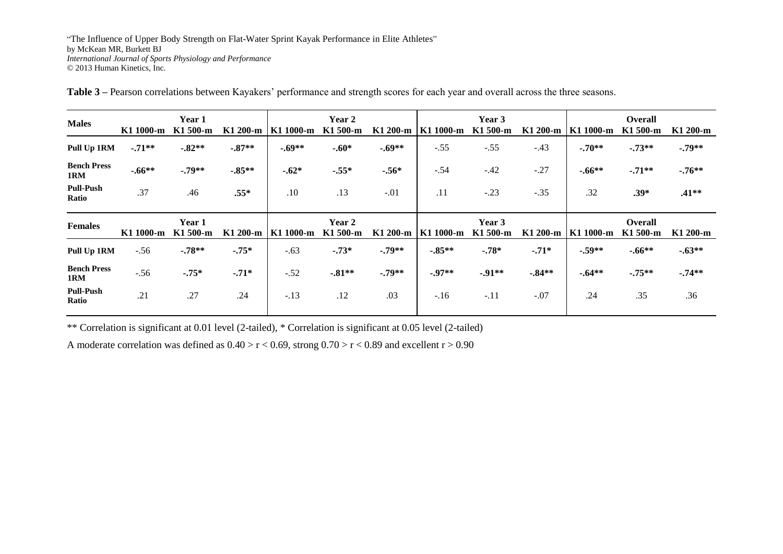| <b>Males</b>              | K1 1000-m | Year 1<br>K1 500-m | K1 200-m  | K1 1000-m | Year 2<br>K1 500-m        | K1 200-m | K1 1000-m | Year 3<br>K1 500-m | K1 200-m | K1 1000-m | <b>Overall</b><br>K1 500-m | K1 200-m |
|---------------------------|-----------|--------------------|-----------|-----------|---------------------------|----------|-----------|--------------------|----------|-----------|----------------------------|----------|
| Pull Up 1RM               | $-.71**$  | $-0.82**$          | $-0.87**$ | $-.69**$  | $-.60*$                   | $-.69**$ | $-.55$    | $-.55$             | $-.43$   | $-.70**$  | $-.73**$                   | $-.79**$ |
| <b>Bench Press</b><br>1RM | $-.66**$  | $-.79**$           | $-0.85**$ | $-.62*$   | $-.55*$                   | $-.56*$  | $-.54$    | $-.42$             | $-.27$   | $-.66**$  | $-.71**$                   | $-.76**$ |
| <b>Pull-Push</b><br>Ratio | .37       | .46                | $.55*$    | .10       | .13                       | $-.01$   | .11       | $-.23$             | $-.35$   | .32       | $.39*$                     | $.41**$  |
|                           |           |                    |           |           |                           |          |           |                    |          |           |                            |          |
| <b>Females</b>            | K1 1000-m | Year 1<br>K1 500-m | K1 200-m  | K1 1000-m | <b>Year 2</b><br>K1 500-m | K1 200-m | K1 1000-m | Year 3<br>K1 500-m | K1 200-m | K1 1000-m | <b>Overall</b><br>K1 500-m | K1 200-m |
| Pull Up 1RM               | $-.56$    | $-.78**$           | $-.75*$   | $-.63$    | $-.73*$                   | $-.79**$ | $-0.85**$ | $-.78*$            | $-.71*$  | $-.59**$  | $-.66**$                   | $-.63**$ |
| <b>Bench Press</b><br>1RM | $-.56$    | $-.75*$            | $-.71*$   | $-.52$    | $-81**$                   | $-.79**$ | $-0.97**$ | $-91**$            | $-84**$  | $-.64**$  | $-.75**$                   | $-.74**$ |
| <b>Pull-Push</b><br>Ratio | .21       | .27                | .24       | $-.13$    | .12                       | .03      | $-.16$    | $-.11$             | $-.07$   | .24       | .35                        | .36      |

**Table 3 –** Pearson correlations between Kayakers' performance and strength scores for each year and overall across the three seasons.

\*\* Correlation is significant at 0.01 level (2-tailed), \* Correlation is significant at 0.05 level (2-tailed)

A moderate correlation was defined as  $0.40 > r < 0.69$ , strong  $0.70 > r < 0.89$  and excellent  $r > 0.90$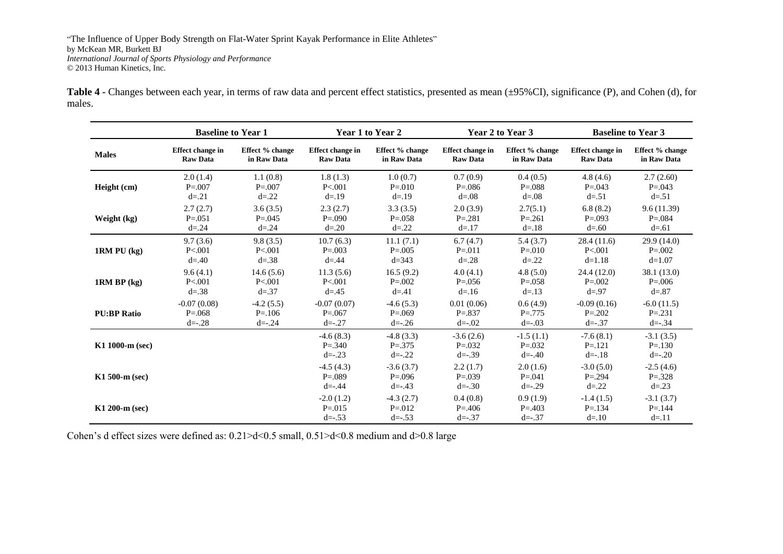Table 4 - Changes between each year, in terms of raw data and percent effect statistics, presented as mean (±95%CI), significance (P), and Cohen (d), for males.

|                    | <b>Baseline to Year 1</b> |                 | Year 1 to Year 2                          |                                           |                                           | Year 2 to Year 3                          | <b>Baseline to Year 3</b>              |                                         |  |
|--------------------|---------------------------|-----------------|-------------------------------------------|-------------------------------------------|-------------------------------------------|-------------------------------------------|----------------------------------------|-----------------------------------------|--|
| <b>Males</b>       | <b>Effect change in</b>   | Effect % change | <b>Effect change in</b>                   | Effect % change                           | Effect change in                          | Effect % change                           | Effect change in                       | Effect % change                         |  |
|                    | <b>Raw Data</b>           | in Raw Data     | <b>Raw Data</b>                           | in Raw Data                               | <b>Raw Data</b>                           | in Raw Data                               | <b>Raw Data</b>                        | in Raw Data                             |  |
| Height (cm)        | 2.0(1.4)                  | 1.1(0.8)        | 1.8(1.3)                                  | 1.0(0.7)                                  | 0.7(0.9)                                  | 0.4(0.5)                                  | 4.8(4.6)                               | 2.7(2.60)                               |  |
|                    | $P = 0.007$               | $P = 0.007$     | P < 001                                   | $P = 010$                                 | $P = 0.086$                               | $P = 0.088$                               | $P = 0.043$                            | $P = 0.043$                             |  |
|                    | $d = 21$                  | $d = 22$        | $d = 19$                                  | $d = 19$                                  | $d = 0.08$                                | $d = 0.08$                                | $d = 51$                               | $d = 51$                                |  |
| Weight (kg)        | 2.7(2.7)                  | 3.6(3.5)        | 2.3(2.7)                                  | 3.3(3.5)                                  | 2.0(3.9)                                  | 2.7(5.1)                                  | 6.8(8.2)                               | 9.6(11.39)                              |  |
|                    | $P = 0.051$               | $P = 0.045$     | $P = 0.090$                               | $P = 0.058$                               | $P = 281$                                 | $P = 0.261$                               | $P = 0.093$                            | $P = 0.084$                             |  |
|                    | $d = 0.24$                | $d = .24$       | $d = 0.20$                                | $d = 22$                                  | $d = 17$                                  | $d = 18$                                  | $d = .60$                              | $d = .61$                               |  |
| $1RM PU$ (kg)      | 9.7(3.6)                  | 9.8(3.5)        | 10.7(6.3)                                 | 11.1(7.1)                                 | 6.7(4.7)                                  | 5.4(3.7)                                  | 28.4(11.6)                             | 29.9(14.0)                              |  |
|                    | P < 001                   | P < 001         | $P = 0.003$                               | $P = 0.005$                               | $P = 011$                                 | $P = 010$                                 | P < 001                                | $P = 0.002$                             |  |
|                    | $d = .40$                 | $d = 0.38$      | $d = .44$                                 | $d = 343$                                 | $d = 28$                                  | $d = 22$                                  | $d=1.18$                               | $d=1.07$                                |  |
| $1RM$ BP $(kg)$    | 9.6(4.1)                  | 14.6(5.6)       | 11.3(5.6)                                 | 16.5(9.2)                                 | 4.0(4.1)                                  | 4.8(5.0)                                  | 24.4 (12.0)                            | 38.1 (13.0)                             |  |
|                    | P < 001                   | P < 001         | P < 001                                   | $P = 0.002$                               | $P = 0.056$                               | $P = 0.058$                               | $P = 0.002$                            | $P = 0.006$                             |  |
|                    | $d = 38$                  | $d = .37$       | $d = 0.45$                                | $d = 0.41$                                | $d = 16$                                  | $d = 13$                                  | $d = .97$                              | $d = 87$                                |  |
| <b>PU:BP Ratio</b> | $-0.07(0.08)$             | $-4.2(5.5)$     | $-0.07(0.07)$                             | $-4.6(5.3)$                               | 0.01(0.06)                                | 0.6(4.9)                                  | $-0.09(0.16)$                          | $-6.0(11.5)$                            |  |
|                    | $P = 0.068$               | $P = 106$       | $P = 0.067$                               | $P = 0.069$                               | $P = 837$                                 | $P = 775$                                 | $P = 0.202$                            | $P = .231$                              |  |
|                    | $d = -0.28$               | $d = -0.24$     | $d = -0.27$                               | $d = -0.26$                               | $d = -0.02$                               | $d = -0.03$                               | $d = -0.37$                            | $d = -0.34$                             |  |
| $K1$ 1000-m (sec)  |                           |                 | $-4.6(8.3)$<br>$P = 0.340$<br>$d = -0.23$ | $-4.8(3.3)$<br>$P = 0.375$<br>$d = -22$   | $-3.6(2.6)$<br>$P = 0.032$<br>$d = -0.39$ | $-1.5(1.1)$<br>$P = 0.032$<br>$d = -0.40$ | $-7.6(8.1)$<br>$P = 121$<br>$d = -.18$ | $-3.1(3.5)$<br>$P = 130$<br>$d = -0.20$ |  |
| $K1$ 500-m (sec)   |                           |                 | $-4.5(4.3)$<br>$P = 0.089$<br>$d = -0.44$ | $-3.6(3.7)$<br>$P = 0.096$<br>$d = -0.43$ | 2.2(1.7)<br>$P = 0.039$<br>$d = -30$      | 2.0(1.6)<br>$P = 0.041$<br>$d = -0.29$    | $-3.0(5.0)$<br>$P = 0.294$<br>$d = 22$ | $-2.5(4.6)$<br>$P = 328$<br>$d = 23$    |  |
| $K1 200-m$ (sec)   |                           |                 | $-2.0(1.2)$<br>$P = 0.015$<br>$d = -0.53$ | $-4.3(2.7)$<br>$P = 0.012$<br>$d = -0.53$ | 0.4(0.8)<br>$P = 0.406$<br>$d = -0.37$    | 0.9(1.9)<br>$P = 0.403$<br>$d = -0.37$    | $-1.4(1.5)$<br>$P = 134$<br>$d = 10$   | $-3.1(3.7)$<br>$P = 144$<br>$d = 11$    |  |

Cohen's d effect sizes were defined as: 0.21>d<0.5 small, 0.51>d<0.8 medium and d>0.8 large